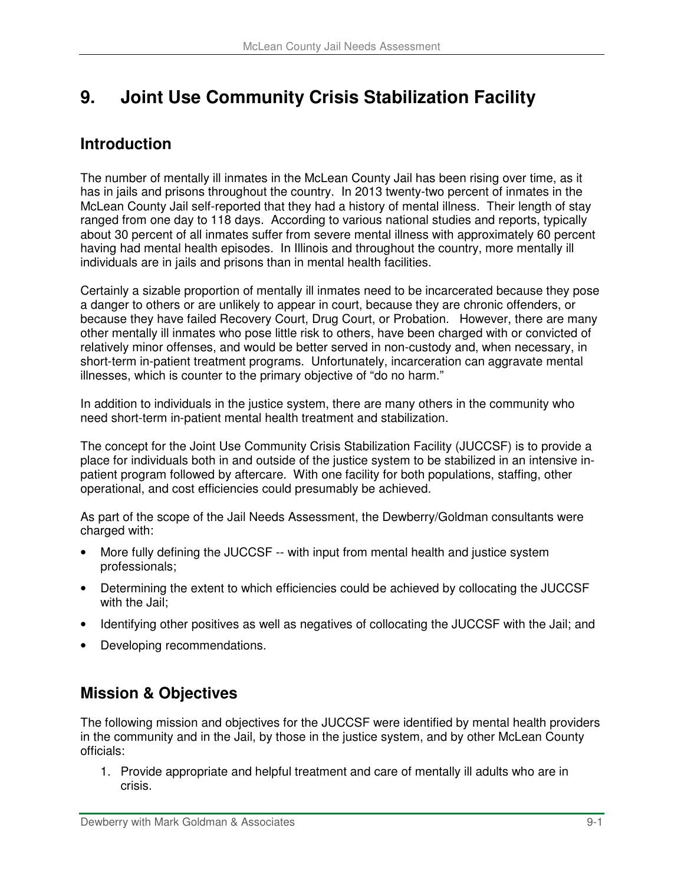# **9. Joint Use Community Crisis Stabilization Facility**

## **Introduction**

The number of mentally ill inmates in the McLean County Jail has been rising over time, as it has in jails and prisons throughout the country. In 2013 twenty-two percent of inmates in the McLean County Jail self-reported that they had a history of mental illness. Their length of stay ranged from one day to 118 days. According to various national studies and reports, typically about 30 percent of all inmates suffer from severe mental illness with approximately 60 percent having had mental health episodes. In Illinois and throughout the country, more mentally ill individuals are in jails and prisons than in mental health facilities.

Certainly a sizable proportion of mentally ill inmates need to be incarcerated because they pose a danger to others or are unlikely to appear in court, because they are chronic offenders, or because they have failed Recovery Court, Drug Court, or Probation. However, there are many other mentally ill inmates who pose little risk to others, have been charged with or convicted of relatively minor offenses, and would be better served in non-custody and, when necessary, in short-term in-patient treatment programs. Unfortunately, incarceration can aggravate mental illnesses, which is counter to the primary objective of "do no harm."

In addition to individuals in the justice system, there are many others in the community who need short-term in-patient mental health treatment and stabilization.

The concept for the Joint Use Community Crisis Stabilization Facility (JUCCSF) is to provide a place for individuals both in and outside of the justice system to be stabilized in an intensive inpatient program followed by aftercare. With one facility for both populations, staffing, other operational, and cost efficiencies could presumably be achieved.

As part of the scope of the Jail Needs Assessment, the Dewberry/Goldman consultants were charged with:

- More fully defining the JUCCSF -- with input from mental health and justice system professionals;
- Determining the extent to which efficiencies could be achieved by collocating the JUCCSF with the Jail;
- Identifying other positives as well as negatives of collocating the JUCCSF with the Jail; and
- Developing recommendations.

# **Mission & Objectives**

The following mission and objectives for the JUCCSF were identified by mental health providers in the community and in the Jail, by those in the justice system, and by other McLean County officials:

1. Provide appropriate and helpful treatment and care of mentally ill adults who are in crisis.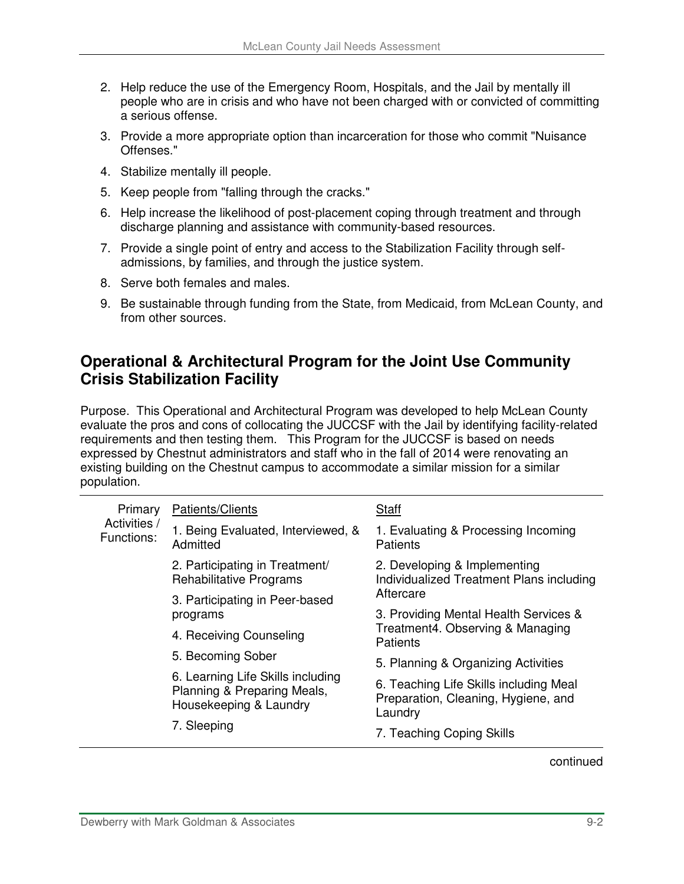- 2. Help reduce the use of the Emergency Room, Hospitals, and the Jail by mentally ill people who are in crisis and who have not been charged with or convicted of committing a serious offense.
- 3. Provide a more appropriate option than incarceration for those who commit "Nuisance Offenses."
- 4. Stabilize mentally ill people.
- 5. Keep people from "falling through the cracks."
- 6. Help increase the likelihood of post-placement coping through treatment and through discharge planning and assistance with community-based resources.
- 7. Provide a single point of entry and access to the Stabilization Facility through selfadmissions, by families, and through the justice system.
- 8. Serve both females and males.
- 9. Be sustainable through funding from the State, from Medicaid, from McLean County, and from other sources.

#### **Operational & Architectural Program for the Joint Use Community Crisis Stabilization Facility**

Purpose. This Operational and Architectural Program was developed to help McLean County evaluate the pros and cons of collocating the JUCCSF with the Jail by identifying facility-related requirements and then testing them. This Program for the JUCCSF is based on needs expressed by Chestnut administrators and staff who in the fall of 2014 were renovating an existing building on the Chestnut campus to accommodate a similar mission for a similar population.

| Primary<br>Activities /<br>Functions: | Patients/Clients                                                 | Staff                                                                                        |  |
|---------------------------------------|------------------------------------------------------------------|----------------------------------------------------------------------------------------------|--|
|                                       | 1. Being Evaluated, Interviewed, &<br>Admitted                   | 1. Evaluating & Processing Incoming<br><b>Patients</b>                                       |  |
|                                       | 2. Participating in Treatment/<br><b>Rehabilitative Programs</b> | 2. Developing & Implementing<br>Individualized Treatment Plans including                     |  |
|                                       | 3. Participating in Peer-based                                   | Aftercare                                                                                    |  |
|                                       | programs                                                         | 3. Providing Mental Health Services &<br>Treatment4. Observing & Managing<br><b>Patients</b> |  |
|                                       | 4. Receiving Counseling                                          |                                                                                              |  |
|                                       | 5. Becoming Sober                                                | 5. Planning & Organizing Activities                                                          |  |
|                                       | 6. Learning Life Skills including                                |                                                                                              |  |
|                                       | Planning & Preparing Meals,<br>Housekeeping & Laundry            | 6. Teaching Life Skills including Meal<br>Preparation, Cleaning, Hygiene, and<br>Laundry     |  |
|                                       | 7. Sleeping                                                      |                                                                                              |  |
|                                       |                                                                  | 7. Teaching Coping Skills                                                                    |  |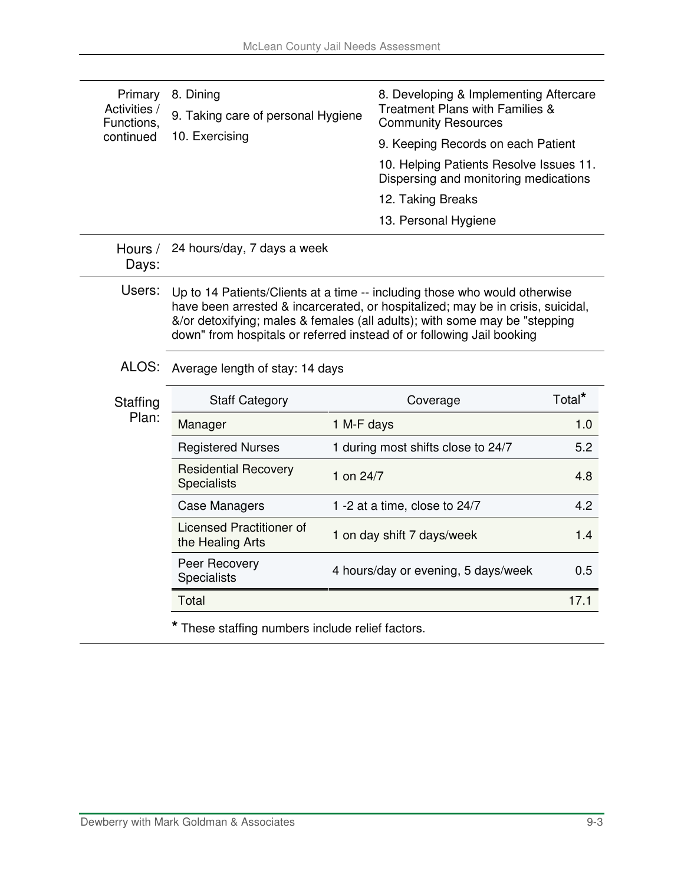| Primary<br>Activities /<br>Functions. | 8. Dining<br>9. Taking care of personal Hygiene                                                                                                                                                                                                                                                                      | 8. Developing & Implementing Aftercare<br>Treatment Plans with Families &<br><b>Community Resources</b> |                    |  |  |
|---------------------------------------|----------------------------------------------------------------------------------------------------------------------------------------------------------------------------------------------------------------------------------------------------------------------------------------------------------------------|---------------------------------------------------------------------------------------------------------|--------------------|--|--|
| continued                             | 10. Exercising                                                                                                                                                                                                                                                                                                       | 9. Keeping Records on each Patient                                                                      |                    |  |  |
|                                       |                                                                                                                                                                                                                                                                                                                      | 10. Helping Patients Resolve Issues 11.<br>Dispersing and monitoring medications                        |                    |  |  |
|                                       |                                                                                                                                                                                                                                                                                                                      | 12. Taking Breaks                                                                                       |                    |  |  |
|                                       |                                                                                                                                                                                                                                                                                                                      | 13. Personal Hygiene                                                                                    |                    |  |  |
| Hours /<br>Days:                      | 24 hours/day, 7 days a week                                                                                                                                                                                                                                                                                          |                                                                                                         |                    |  |  |
| Users:                                | Up to 14 Patients/Clients at a time -- including those who would otherwise<br>have been arrested & incarcerated, or hospitalized; may be in crisis, suicidal,<br>&/or detoxifying; males & females (all adults); with some may be "stepping<br>down" from hospitals or referred instead of or following Jail booking |                                                                                                         |                    |  |  |
| ALOS:                                 | Average length of stay: 14 days                                                                                                                                                                                                                                                                                      |                                                                                                         |                    |  |  |
| Staffing                              | <b>Staff Category</b>                                                                                                                                                                                                                                                                                                | Coverage                                                                                                | Total <sup>*</sup> |  |  |
| Plan:                                 | Manager                                                                                                                                                                                                                                                                                                              | 1 M-F days                                                                                              | 1.0                |  |  |
|                                       | <b>Registered Nurses</b>                                                                                                                                                                                                                                                                                             | 1 during most shifts close to 24/7                                                                      | 5.2                |  |  |
|                                       | <b>Residential Recovery</b><br><b>Specialists</b>                                                                                                                                                                                                                                                                    | 1 on 24/7                                                                                               | 4.8                |  |  |
|                                       | <b>Case Managers</b>                                                                                                                                                                                                                                                                                                 | 1 -2 at a time, close to 24/7                                                                           | 4.2                |  |  |
|                                       | <b>Licensed Practitioner of</b><br>the Healing Arts                                                                                                                                                                                                                                                                  | 1 on day shift 7 days/week                                                                              | 1.4                |  |  |
|                                       | Peer Recovery<br><b>Specialists</b>                                                                                                                                                                                                                                                                                  | 4 hours/day or evening, 5 days/week                                                                     | 0.5                |  |  |
|                                       | Total                                                                                                                                                                                                                                                                                                                | 17.1                                                                                                    |                    |  |  |
|                                       | These staffing numbers include relief factors.                                                                                                                                                                                                                                                                       |                                                                                                         |                    |  |  |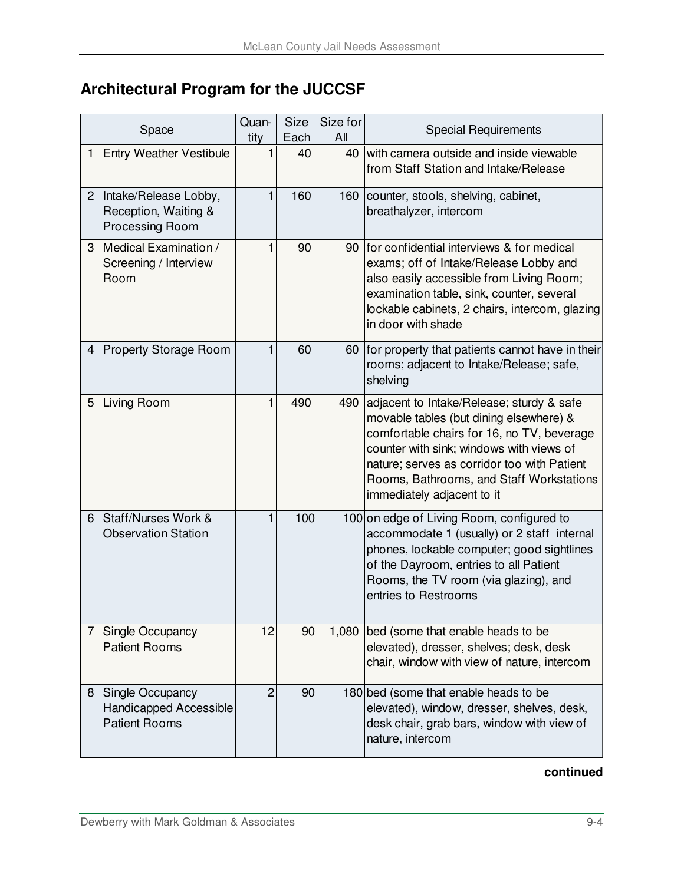# **Architectural Program for the JUCCSF**

| Space                                                                          |  | Quan-<br>tity | Size<br>Each | Size for<br>All | <b>Special Requirements</b>                                                                                                                                                                                                                                                                             |
|--------------------------------------------------------------------------------|--|---------------|--------------|-----------------|---------------------------------------------------------------------------------------------------------------------------------------------------------------------------------------------------------------------------------------------------------------------------------------------------------|
| <b>Entry Weather Vestibule</b><br>$\mathbf{1}$                                 |  |               | 40           | 40              | with camera outside and inside viewable<br>from Staff Station and Intake/Release                                                                                                                                                                                                                        |
| 2 Intake/Release Lobby,<br>Reception, Waiting &<br>Processing Room             |  |               | 160          | 160             | counter, stools, shelving, cabinet,<br>breathalyzer, intercom                                                                                                                                                                                                                                           |
| Medical Examination /<br>3<br>Screening / Interview<br>Room                    |  |               | 90           | 90              | Ifor confidential interviews & for medical<br>exams; off of Intake/Release Lobby and<br>also easily accessible from Living Room;<br>examination table, sink, counter, several<br>lockable cabinets, 2 chairs, intercom, glazing<br>in door with shade                                                   |
| 4 Property Storage Room                                                        |  |               | 60           | 60              | for property that patients cannot have in their<br>rooms; adjacent to Intake/Release; safe,<br>shelving                                                                                                                                                                                                 |
| 5 Living Room                                                                  |  |               | 490          | 490             | adjacent to Intake/Release; sturdy & safe<br>movable tables (but dining elsewhere) &<br>comfortable chairs for 16, no TV, beverage<br>counter with sink; windows with views of<br>nature; serves as corridor too with Patient<br>Rooms, Bathrooms, and Staff Workstations<br>immediately adjacent to it |
| Staff/Nurses Work &<br>6<br><b>Observation Station</b>                         |  |               | 100          |                 | 100 on edge of Living Room, configured to<br>accommodate 1 (usually) or 2 staff internal<br>phones, lockable computer; good sightlines<br>of the Dayroom, entries to all Patient<br>Rooms, the TV room (via glazing), and<br>entries to Restrooms                                                       |
| Single Occupancy<br>$7^{\circ}$<br><b>Patient Rooms</b>                        |  | 12            | 90           | 1,080           | bed (some that enable heads to be<br>elevated), dresser, shelves; desk, desk<br>chair, window with view of nature, intercom                                                                                                                                                                             |
| Single Occupancy<br>8<br><b>Handicapped Accessible</b><br><b>Patient Rooms</b> |  | 2             | 90           |                 | 180 bed (some that enable heads to be<br>elevated), window, dresser, shelves, desk,<br>desk chair, grab bars, window with view of<br>nature, intercom                                                                                                                                                   |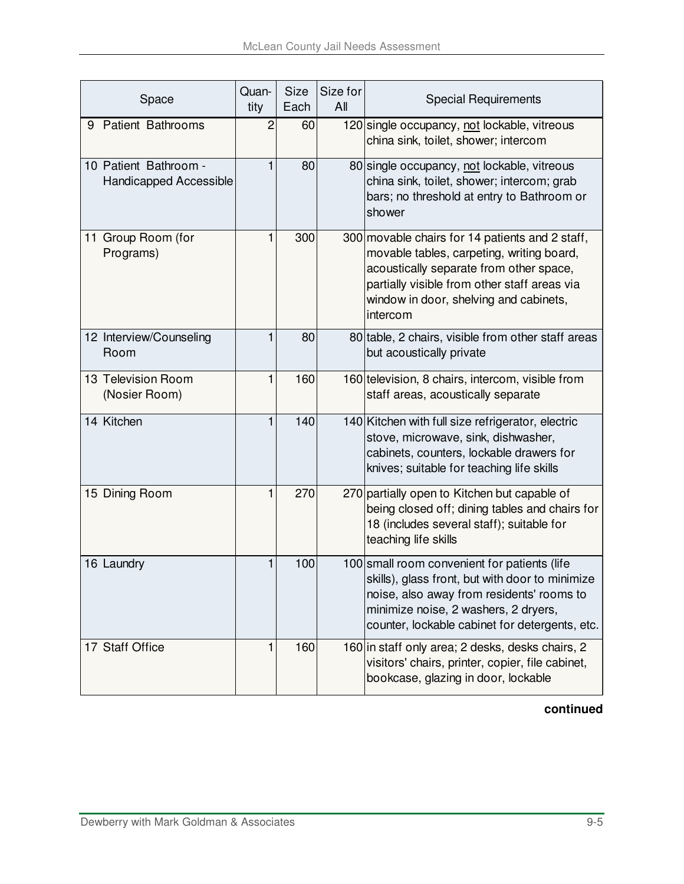| Space                                                  | Quan-<br>tity | <b>Size</b><br>Each | Size for<br>All | <b>Special Requirements</b>                                                                                                                                                                                                                   |
|--------------------------------------------------------|---------------|---------------------|-----------------|-----------------------------------------------------------------------------------------------------------------------------------------------------------------------------------------------------------------------------------------------|
| 9 Patient Bathrooms                                    | 2             | 60                  |                 | 120 single occupancy, not lockable, vitreous<br>china sink, toilet, shower; intercom                                                                                                                                                          |
| 10 Patient Bathroom -<br><b>Handicapped Accessible</b> | 1             | 80                  |                 | 80 single occupancy, not lockable, vitreous<br>china sink, toilet, shower; intercom; grab<br>bars; no threshold at entry to Bathroom or<br>shower                                                                                             |
| 11 Group Room (for<br>Programs)                        | 1             | 300                 |                 | 300 movable chairs for 14 patients and 2 staff,<br>movable tables, carpeting, writing board,<br>acoustically separate from other space,<br>partially visible from other staff areas via<br>window in door, shelving and cabinets,<br>intercom |
| 12 Interview/Counseling<br>Room                        |               | 80                  |                 | 80 table, 2 chairs, visible from other staff areas<br>but acoustically private                                                                                                                                                                |
| 13 Television Room<br>(Nosier Room)                    | 1             | 160                 |                 | 160 television, 8 chairs, intercom, visible from<br>staff areas, acoustically separate                                                                                                                                                        |
| 14 Kitchen                                             |               | 140                 |                 | 140 Kitchen with full size refrigerator, electric<br>stove, microwave, sink, dishwasher,<br>cabinets, counters, lockable drawers for<br>knives; suitable for teaching life skills                                                             |
| 15 Dining Room                                         | 1             | 270                 |                 | 270 partially open to Kitchen but capable of<br>being closed off; dining tables and chairs for<br>18 (includes several staff); suitable for<br>teaching life skills                                                                           |
| 16 Laundry                                             |               | 100                 |                 | 100 small room convenient for patients (life<br>skills), glass front, but with door to minimize<br>noise, also away from residents' rooms to<br>minimize noise, 2 washers, 2 dryers,<br>counter, lockable cabinet for detergents, etc.        |
| 17 Staff Office                                        | 1             | 160                 |                 | 160 in staff only area; 2 desks, desks chairs, 2<br>visitors' chairs, printer, copier, file cabinet,<br>bookcase, glazing in door, lockable                                                                                                   |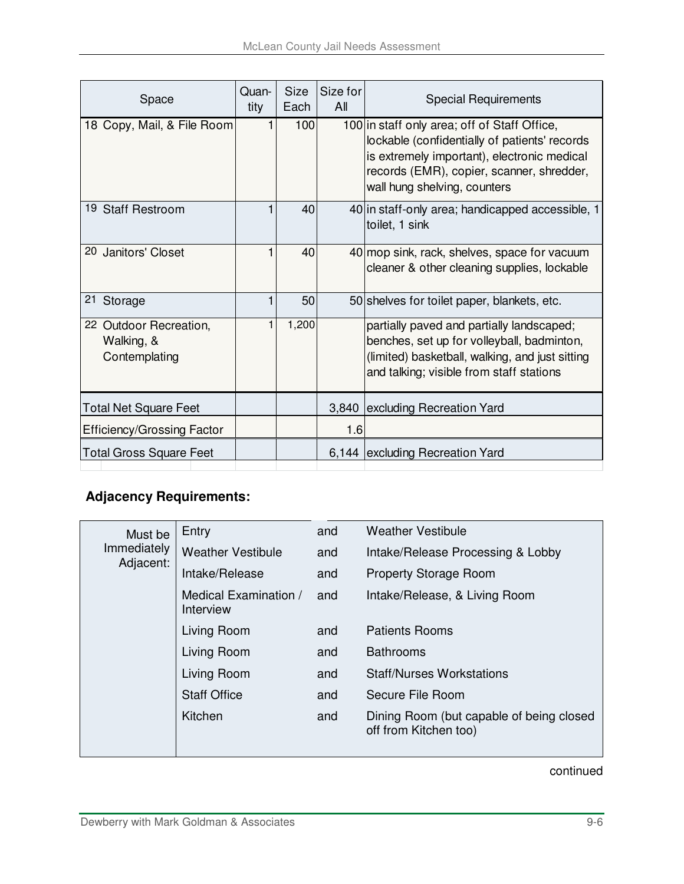| Space                                                 | Quan-<br>tity | <b>Size</b><br>Each | Size for<br>All | <b>Special Requirements</b>                                                                                                                                                                                               |
|-------------------------------------------------------|---------------|---------------------|-----------------|---------------------------------------------------------------------------------------------------------------------------------------------------------------------------------------------------------------------------|
| 18 Copy, Mail, & File Room                            |               | 100                 |                 | 100 in staff only area; off of Staff Office,<br>lockable (confidentially of patients' records<br>is extremely important), electronic medical<br>records (EMR), copier, scanner, shredder,<br>wall hung shelving, counters |
| 19 Staff Restroom                                     |               | 40                  |                 | 40 in staff-only area; handicapped accessible, 1<br>toilet, 1 sink                                                                                                                                                        |
| 20 Janitors' Closet                                   |               | 40                  |                 | 40 mop sink, rack, shelves, space for vacuum<br>cleaner & other cleaning supplies, lockable                                                                                                                               |
| 21<br>Storage                                         |               | 50                  |                 | 50 shelves for toilet paper, blankets, etc.                                                                                                                                                                               |
| 22 Outdoor Recreation,<br>Walking, &<br>Contemplating |               | 1,200               |                 | partially paved and partially landscaped;<br>benches, set up for volleyball, badminton,<br>(limited) basketball, walking, and just sitting<br>and talking; visible from staff stations                                    |
| <b>Total Net Square Feet</b>                          |               |                     | 3,840           | excluding Recreation Yard                                                                                                                                                                                                 |
| <b>Efficiency/Grossing Factor</b>                     |               |                     | 1.6             |                                                                                                                                                                                                                           |
| <b>Total Gross Square Feet</b>                        |               |                     | 6,144           | excluding Recreation Yard                                                                                                                                                                                                 |

### **Adjacency Requirements:**

| Must be     | Entry                              | and | <b>Weather Vestibule</b>                                          |
|-------------|------------------------------------|-----|-------------------------------------------------------------------|
| Immediately | <b>Weather Vestibule</b>           | and | Intake/Release Processing & Lobby                                 |
| Adjacent:   | Intake/Release                     | and | Property Storage Room                                             |
|             | Medical Examination /<br>Interview | and | Intake/Release, & Living Room                                     |
|             | Living Room                        | and | <b>Patients Rooms</b>                                             |
|             | Living Room                        | and | <b>Bathrooms</b>                                                  |
|             | Living Room                        | and | <b>Staff/Nurses Workstations</b>                                  |
|             | <b>Staff Office</b>                | and | Secure File Room                                                  |
|             | Kitchen                            | and | Dining Room (but capable of being closed<br>off from Kitchen too) |
|             |                                    |     |                                                                   |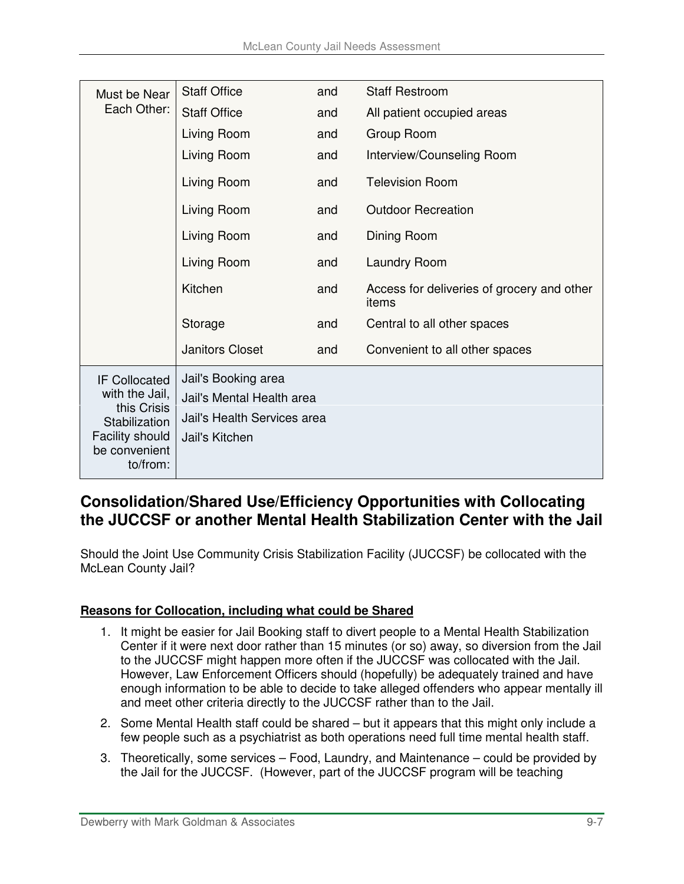| Must be Near<br>Each Other:                                                                                                   | <b>Staff Office</b>                                                                               | and | <b>Staff Restroom</b>                               |
|-------------------------------------------------------------------------------------------------------------------------------|---------------------------------------------------------------------------------------------------|-----|-----------------------------------------------------|
|                                                                                                                               | <b>Staff Office</b>                                                                               | and | All patient occupied areas                          |
|                                                                                                                               | Living Room                                                                                       | and | Group Room                                          |
|                                                                                                                               | Living Room                                                                                       | and | Interview/Counseling Room                           |
|                                                                                                                               | Living Room                                                                                       | and | <b>Television Room</b>                              |
|                                                                                                                               | Living Room                                                                                       | and | <b>Outdoor Recreation</b>                           |
|                                                                                                                               | Living Room                                                                                       | and | Dining Room                                         |
|                                                                                                                               | Living Room                                                                                       | and | <b>Laundry Room</b>                                 |
|                                                                                                                               | Kitchen                                                                                           | and | Access for deliveries of grocery and other<br>items |
|                                                                                                                               | Storage                                                                                           | and | Central to all other spaces                         |
|                                                                                                                               | <b>Janitors Closet</b>                                                                            | and | Convenient to all other spaces                      |
| <b>IF Collocated</b><br>with the Jail,<br>this Crisis<br>Stabilization<br><b>Facility should</b><br>be convenient<br>to/from: | Jail's Booking area<br>Jail's Mental Health area<br>Jail's Health Services area<br>Jail's Kitchen |     |                                                     |

### **Consolidation/Shared Use/Efficiency Opportunities with Collocating the JUCCSF or another Mental Health Stabilization Center with the Jail**

Should the Joint Use Community Crisis Stabilization Facility (JUCCSF) be collocated with the McLean County Jail?

#### **Reasons for Collocation, including what could be Shared**

- 1. It might be easier for Jail Booking staff to divert people to a Mental Health Stabilization Center if it were next door rather than 15 minutes (or so) away, so diversion from the Jail to the JUCCSF might happen more often if the JUCCSF was collocated with the Jail. However, Law Enforcement Officers should (hopefully) be adequately trained and have enough information to be able to decide to take alleged offenders who appear mentally ill and meet other criteria directly to the JUCCSF rather than to the Jail.
- 2. Some Mental Health staff could be shared but it appears that this might only include a few people such as a psychiatrist as both operations need full time mental health staff.
- 3. Theoretically, some services Food, Laundry, and Maintenance could be provided by the Jail for the JUCCSF. (However, part of the JUCCSF program will be teaching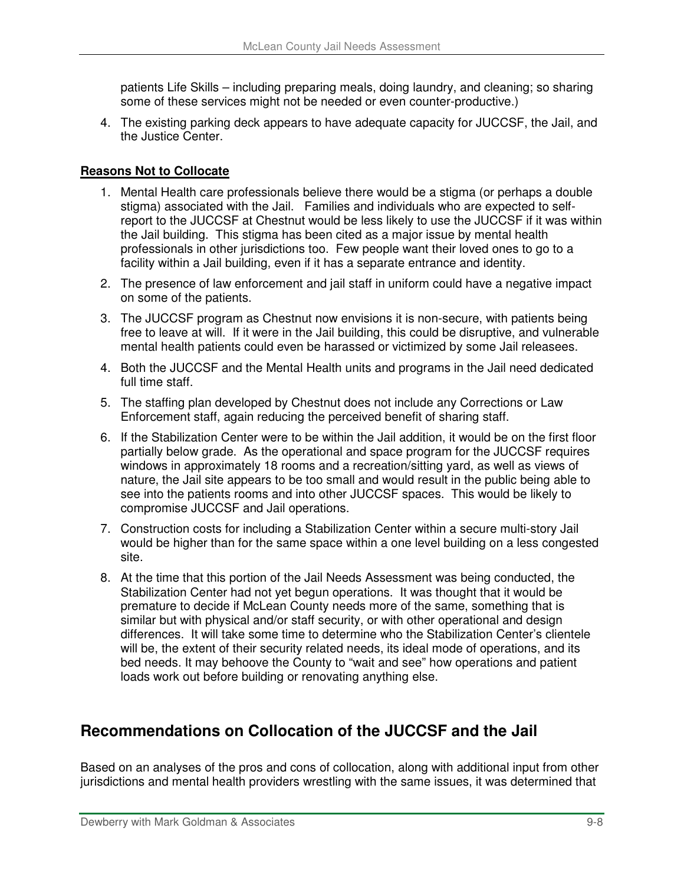patients Life Skills – including preparing meals, doing laundry, and cleaning; so sharing some of these services might not be needed or even counter-productive.)

4. The existing parking deck appears to have adequate capacity for JUCCSF, the Jail, and the Justice Center.

#### **Reasons Not to Collocate**

- 1. Mental Health care professionals believe there would be a stigma (or perhaps a double stigma) associated with the Jail. Families and individuals who are expected to selfreport to the JUCCSF at Chestnut would be less likely to use the JUCCSF if it was within the Jail building. This stigma has been cited as a major issue by mental health professionals in other jurisdictions too. Few people want their loved ones to go to a facility within a Jail building, even if it has a separate entrance and identity.
- 2. The presence of law enforcement and jail staff in uniform could have a negative impact on some of the patients.
- 3. The JUCCSF program as Chestnut now envisions it is non-secure, with patients being free to leave at will. If it were in the Jail building, this could be disruptive, and vulnerable mental health patients could even be harassed or victimized by some Jail releasees.
- 4. Both the JUCCSF and the Mental Health units and programs in the Jail need dedicated full time staff.
- 5. The staffing plan developed by Chestnut does not include any Corrections or Law Enforcement staff, again reducing the perceived benefit of sharing staff.
- 6. If the Stabilization Center were to be within the Jail addition, it would be on the first floor partially below grade. As the operational and space program for the JUCCSF requires windows in approximately 18 rooms and a recreation/sitting yard, as well as views of nature, the Jail site appears to be too small and would result in the public being able to see into the patients rooms and into other JUCCSF spaces. This would be likely to compromise JUCCSF and Jail operations.
- 7. Construction costs for including a Stabilization Center within a secure multi-story Jail would be higher than for the same space within a one level building on a less congested site.
- 8. At the time that this portion of the Jail Needs Assessment was being conducted, the Stabilization Center had not yet begun operations. It was thought that it would be premature to decide if McLean County needs more of the same, something that is similar but with physical and/or staff security, or with other operational and design differences. It will take some time to determine who the Stabilization Center's clientele will be, the extent of their security related needs, its ideal mode of operations, and its bed needs. It may behoove the County to "wait and see" how operations and patient loads work out before building or renovating anything else.

### **Recommendations on Collocation of the JUCCSF and the Jail**

Based on an analyses of the pros and cons of collocation, along with additional input from other jurisdictions and mental health providers wrestling with the same issues, it was determined that